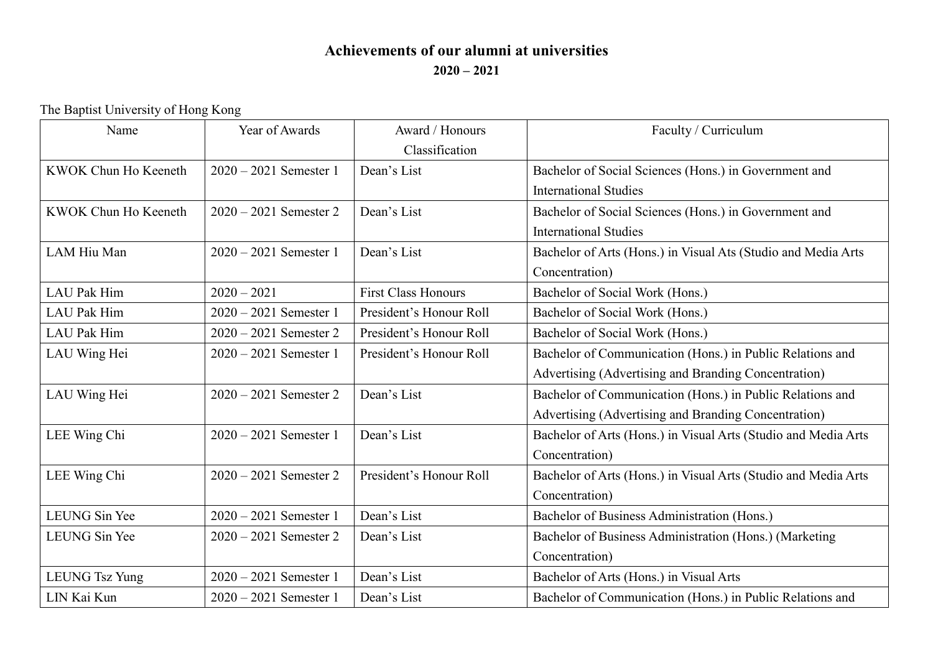## **Achievements of our alumni at universities 2020 – 2021**

The Baptist University of Hong Kong

| Name                  | Year of Awards           | Award / Honours            | Faculty / Curriculum                                           |
|-----------------------|--------------------------|----------------------------|----------------------------------------------------------------|
|                       |                          | Classification             |                                                                |
| KWOK Chun Ho Keeneth  | $2020 - 2021$ Semester 1 | Dean's List                | Bachelor of Social Sciences (Hons.) in Government and          |
|                       |                          |                            | <b>International Studies</b>                                   |
| KWOK Chun Ho Keeneth  | $2020 - 2021$ Semester 2 | Dean's List                | Bachelor of Social Sciences (Hons.) in Government and          |
|                       |                          |                            | <b>International Studies</b>                                   |
| LAM Hiu Man           | $2020 - 2021$ Semester 1 | Dean's List                | Bachelor of Arts (Hons.) in Visual Ats (Studio and Media Arts  |
|                       |                          |                            | Concentration)                                                 |
| <b>LAU</b> Pak Him    | $2020 - 2021$            | <b>First Class Honours</b> | Bachelor of Social Work (Hons.)                                |
| <b>LAU Pak Him</b>    | $2020 - 2021$ Semester 1 | President's Honour Roll    | Bachelor of Social Work (Hons.)                                |
| <b>LAU</b> Pak Him    | $2020 - 2021$ Semester 2 | President's Honour Roll    | Bachelor of Social Work (Hons.)                                |
| LAU Wing Hei          | $2020 - 2021$ Semester 1 | President's Honour Roll    | Bachelor of Communication (Hons.) in Public Relations and      |
|                       |                          |                            | Advertising (Advertising and Branding Concentration)           |
| LAU Wing Hei          | $2020 - 2021$ Semester 2 | Dean's List                | Bachelor of Communication (Hons.) in Public Relations and      |
|                       |                          |                            | Advertising (Advertising and Branding Concentration)           |
| LEE Wing Chi          | $2020 - 2021$ Semester 1 | Dean's List                | Bachelor of Arts (Hons.) in Visual Arts (Studio and Media Arts |
|                       |                          |                            | Concentration)                                                 |
| LEE Wing Chi          | $2020 - 2021$ Semester 2 | President's Honour Roll    | Bachelor of Arts (Hons.) in Visual Arts (Studio and Media Arts |
|                       |                          |                            | Concentration)                                                 |
| LEUNG Sin Yee         | $2020 - 2021$ Semester 1 | Dean's List                | Bachelor of Business Administration (Hons.)                    |
| LEUNG Sin Yee         | $2020 - 2021$ Semester 2 | Dean's List                | Bachelor of Business Administration (Hons.) (Marketing         |
|                       |                          |                            | Concentration)                                                 |
| <b>LEUNG Tsz Yung</b> | $2020 - 2021$ Semester 1 | Dean's List                | Bachelor of Arts (Hons.) in Visual Arts                        |
| LIN Kai Kun           | $2020 - 2021$ Semester 1 | Dean's List                | Bachelor of Communication (Hons.) in Public Relations and      |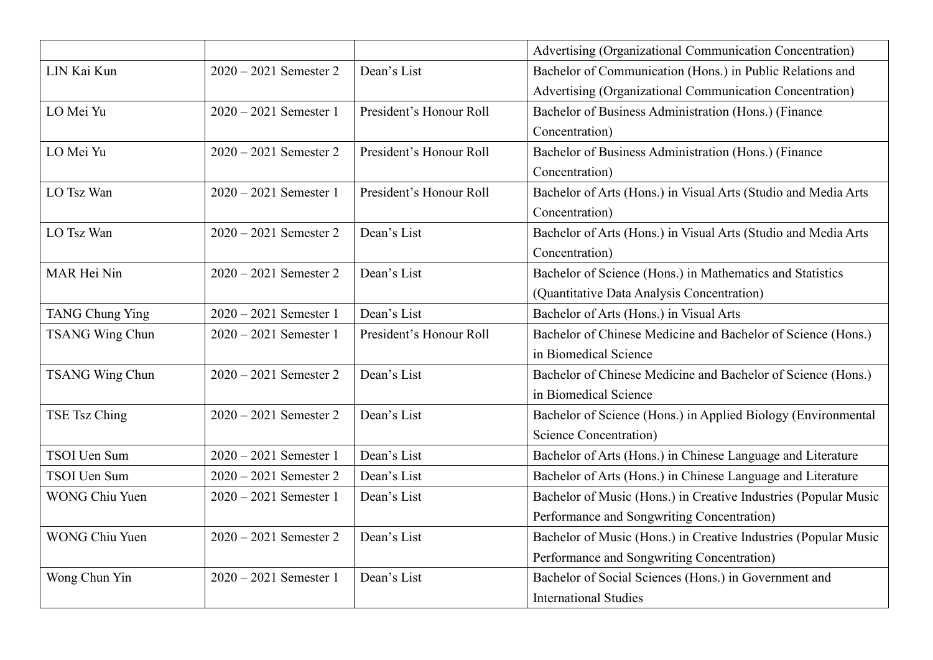|                        |                          |                         | Advertising (Organizational Communication Concentration)        |
|------------------------|--------------------------|-------------------------|-----------------------------------------------------------------|
| LIN Kai Kun            | $2020 - 2021$ Semester 2 | Dean's List             | Bachelor of Communication (Hons.) in Public Relations and       |
|                        |                          |                         | Advertising (Organizational Communication Concentration)        |
| LO Mei Yu              | $2020 - 2021$ Semester 1 | President's Honour Roll | Bachelor of Business Administration (Hons.) (Finance            |
|                        |                          |                         | Concentration)                                                  |
| LO Mei Yu              | $2020 - 2021$ Semester 2 | President's Honour Roll | Bachelor of Business Administration (Hons.) (Finance            |
|                        |                          |                         | Concentration)                                                  |
| LO Tsz Wan             | $2020 - 2021$ Semester 1 | President's Honour Roll | Bachelor of Arts (Hons.) in Visual Arts (Studio and Media Arts  |
|                        |                          |                         | Concentration)                                                  |
| LO Tsz Wan             | $2020 - 2021$ Semester 2 | Dean's List             | Bachelor of Arts (Hons.) in Visual Arts (Studio and Media Arts  |
|                        |                          |                         | Concentration)                                                  |
| MAR Hei Nin            | $2020 - 2021$ Semester 2 | Dean's List             | Bachelor of Science (Hons.) in Mathematics and Statistics       |
|                        |                          |                         | (Quantitative Data Analysis Concentration)                      |
| <b>TANG Chung Ying</b> | $2020 - 2021$ Semester 1 | Dean's List             | Bachelor of Arts (Hons.) in Visual Arts                         |
| <b>TSANG Wing Chun</b> | $2020 - 2021$ Semester 1 | President's Honour Roll | Bachelor of Chinese Medicine and Bachelor of Science (Hons.)    |
|                        |                          |                         | in Biomedical Science                                           |
| <b>TSANG Wing Chun</b> | $2020 - 2021$ Semester 2 | Dean's List             | Bachelor of Chinese Medicine and Bachelor of Science (Hons.)    |
|                        |                          |                         | in Biomedical Science                                           |
| TSE Tsz Ching          | $2020 - 2021$ Semester 2 | Dean's List             | Bachelor of Science (Hons.) in Applied Biology (Environmental   |
|                        |                          |                         | Science Concentration)                                          |
| TSOI Uen Sum           | $2020 - 2021$ Semester 1 | Dean's List             | Bachelor of Arts (Hons.) in Chinese Language and Literature     |
| TSOI Uen Sum           | $2020 - 2021$ Semester 2 | Dean's List             | Bachelor of Arts (Hons.) in Chinese Language and Literature     |
| <b>WONG Chiu Yuen</b>  | $2020 - 2021$ Semester 1 | Dean's List             | Bachelor of Music (Hons.) in Creative Industries (Popular Music |
|                        |                          |                         | Performance and Songwriting Concentration)                      |
| <b>WONG Chiu Yuen</b>  | $2020 - 2021$ Semester 2 | Dean's List             | Bachelor of Music (Hons.) in Creative Industries (Popular Music |
|                        |                          |                         | Performance and Songwriting Concentration)                      |
| Wong Chun Yin          | $2020 - 2021$ Semester 1 | Dean's List             | Bachelor of Social Sciences (Hons.) in Government and           |
|                        |                          |                         | <b>International Studies</b>                                    |